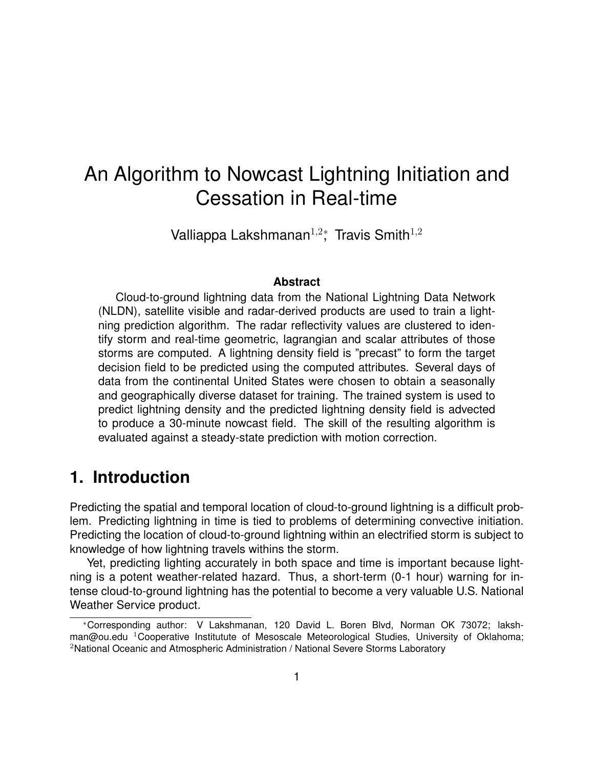# An Algorithm to Nowcast Lightning Initiation and Cessation in Real-time

Valliappa Lakshmanan<sup>1,2</sup><sup>\*</sup>, Travis Smith<sup>1,2</sup>

#### **Abstract**

Cloud-to-ground lightning data from the National Lightning Data Network (NLDN), satellite visible and radar-derived products are used to train a lightning prediction algorithm. The radar reflectivity values are clustered to identify storm and real-time geometric, lagrangian and scalar attributes of those storms are computed. A lightning density field is "precast" to form the target decision field to be predicted using the computed attributes. Several days of data from the continental United States were chosen to obtain a seasonally and geographically diverse dataset for training. The trained system is used to predict lightning density and the predicted lightning density field is advected to produce a 30-minute nowcast field. The skill of the resulting algorithm is evaluated against a steady-state prediction with motion correction.

#### **1. Introduction**

Predicting the spatial and temporal location of cloud-to-ground lightning is a difficult problem. Predicting lightning in time is tied to problems of determining convective initiation. Predicting the location of cloud-to-ground lightning within an electrified storm is subject to knowledge of how lightning travels withins the storm.

Yet, predicting lighting accurately in both space and time is important because lightning is a potent weather-related hazard. Thus, a short-term (0-1 hour) warning for intense cloud-to-ground lightning has the potential to become a very valuable U.S. National Weather Service product.

<sup>∗</sup>Corresponding author: V Lakshmanan, 120 David L. Boren Blvd, Norman OK 73072; lakshman@ou.edu  ${}^{1}$ Cooperative Institutute of Mesoscale Meteorological Studies, University of Oklahoma; <sup>2</sup>National Oceanic and Atmospheric Administration / National Severe Storms Laboratory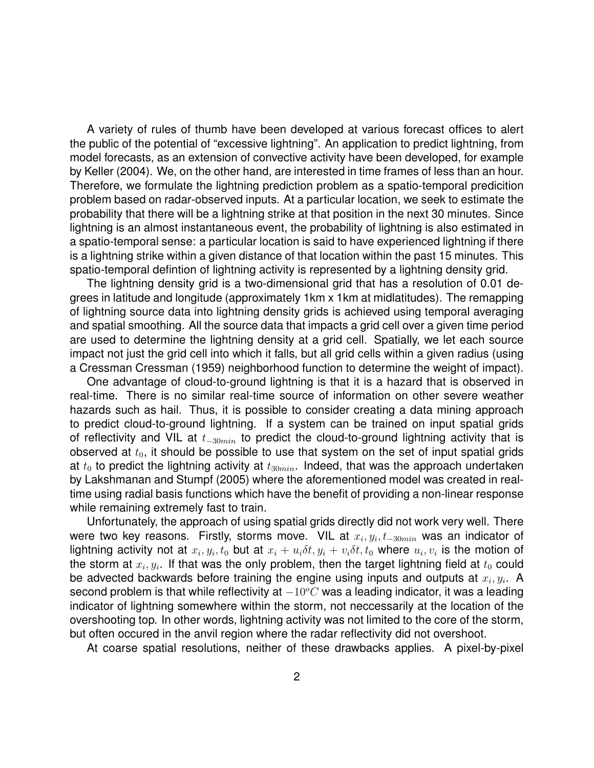A variety of rules of thumb have been developed at various forecast offices to alert the public of the potential of "excessive lightning". An application to predict lightning, from model forecasts, as an extension of convective activity have been developed, for example by Keller (2004). We, on the other hand, are interested in time frames of less than an hour. Therefore, we formulate the lightning prediction problem as a spatio-temporal predicition problem based on radar-observed inputs. At a particular location, we seek to estimate the probability that there will be a lightning strike at that position in the next 30 minutes. Since lightning is an almost instantaneous event, the probability of lightning is also estimated in a spatio-temporal sense: a particular location is said to have experienced lightning if there is a lightning strike within a given distance of that location within the past 15 minutes. This spatio-temporal defintion of lightning activity is represented by a lightning density grid.

The lightning density grid is a two-dimensional grid that has a resolution of 0.01 degrees in latitude and longitude (approximately 1km x 1km at midlatitudes). The remapping of lightning source data into lightning density grids is achieved using temporal averaging and spatial smoothing. All the source data that impacts a grid cell over a given time period are used to determine the lightning density at a grid cell. Spatially, we let each source impact not just the grid cell into which it falls, but all grid cells within a given radius (using a Cressman Cressman (1959) neighborhood function to determine the weight of impact).

One advantage of cloud-to-ground lightning is that it is a hazard that is observed in real-time. There is no similar real-time source of information on other severe weather hazards such as hail. Thus, it is possible to consider creating a data mining approach to predict cloud-to-ground lightning. If a system can be trained on input spatial grids of reflectivity and VIL at  $t_{-30min}$  to predict the cloud-to-ground lightning activity that is observed at  $t_0$ , it should be possible to use that system on the set of input spatial grids at  $t_0$  to predict the lightning activity at  $t_{30min}$ . Indeed, that was the approach undertaken by Lakshmanan and Stumpf (2005) where the aforementioned model was created in realtime using radial basis functions which have the benefit of providing a non-linear response while remaining extremely fast to train.

Unfortunately, the approach of using spatial grids directly did not work very well. There were two key reasons. Firstly, storms move. VIL at  $x_i, y_i, t_{-30min}$  was an indicator of lightning activity not at  $x_i, y_i, t_0$  but at  $x_i + u_i \delta t, y_i + v_i \delta t, t_0$  where  $u_i, v_i$  is the motion of the storm at  $x_i, y_i$ . If that was the only problem, then the target lightning field at  $t_0$  could be advected backwards before training the engine using inputs and outputs at  $x_i, y_i$ . A second problem is that while reflectivity at  $-10^{\circ}$ C was a leading indicator, it was a leading indicator of lightning somewhere within the storm, not neccessarily at the location of the overshooting top. In other words, lightning activity was not limited to the core of the storm, but often occured in the anvil region where the radar reflectivity did not overshoot.

At coarse spatial resolutions, neither of these drawbacks applies. A pixel-by-pixel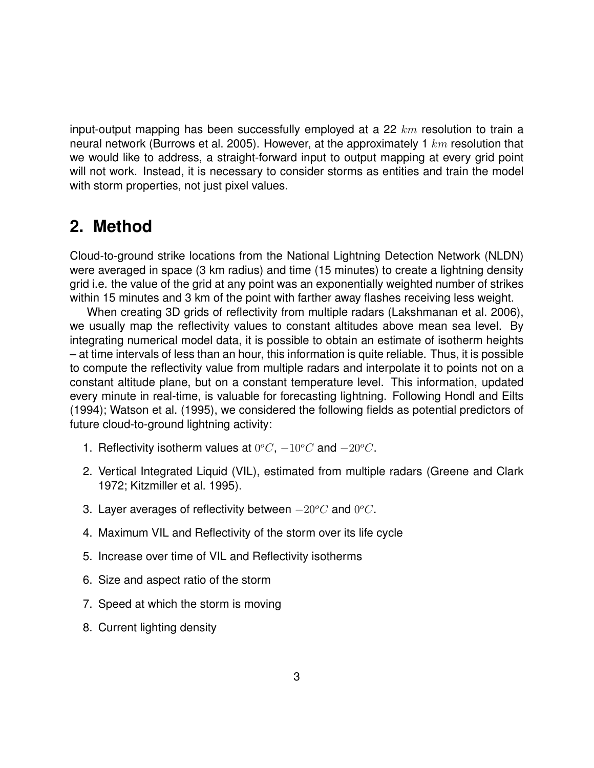input-output mapping has been successfully employed at a 22  $km$  resolution to train a neural network (Burrows et al. 2005). However, at the approximately 1  $km$  resolution that we would like to address, a straight-forward input to output mapping at every grid point will not work. Instead, it is necessary to consider storms as entities and train the model with storm properties, not just pixel values.

## **2. Method**

Cloud-to-ground strike locations from the National Lightning Detection Network (NLDN) were averaged in space (3 km radius) and time (15 minutes) to create a lightning density grid i.e. the value of the grid at any point was an exponentially weighted number of strikes within 15 minutes and 3 km of the point with farther away flashes receiving less weight.

When creating 3D grids of reflectivity from multiple radars (Lakshmanan et al. 2006), we usually map the reflectivity values to constant altitudes above mean sea level. By integrating numerical model data, it is possible to obtain an estimate of isotherm heights – at time intervals of less than an hour, this information is quite reliable. Thus, it is possible to compute the reflectivity value from multiple radars and interpolate it to points not on a constant altitude plane, but on a constant temperature level. This information, updated every minute in real-time, is valuable for forecasting lightning. Following Hondl and Eilts (1994); Watson et al. (1995), we considered the following fields as potential predictors of future cloud-to-ground lightning activity:

- 1. Reflectivity isotherm values at  $0^{\circ}C$ ,  $-10^{\circ}C$  and  $-20^{\circ}C$ .
- 2. Vertical Integrated Liquid (VIL), estimated from multiple radars (Greene and Clark 1972; Kitzmiller et al. 1995).
- 3. Layer averages of reflectivity between  $-20^{\circ}C$  and  $0^{\circ}C$ .
- 4. Maximum VIL and Reflectivity of the storm over its life cycle
- 5. Increase over time of VIL and Reflectivity isotherms
- 6. Size and aspect ratio of the storm
- 7. Speed at which the storm is moving
- 8. Current lighting density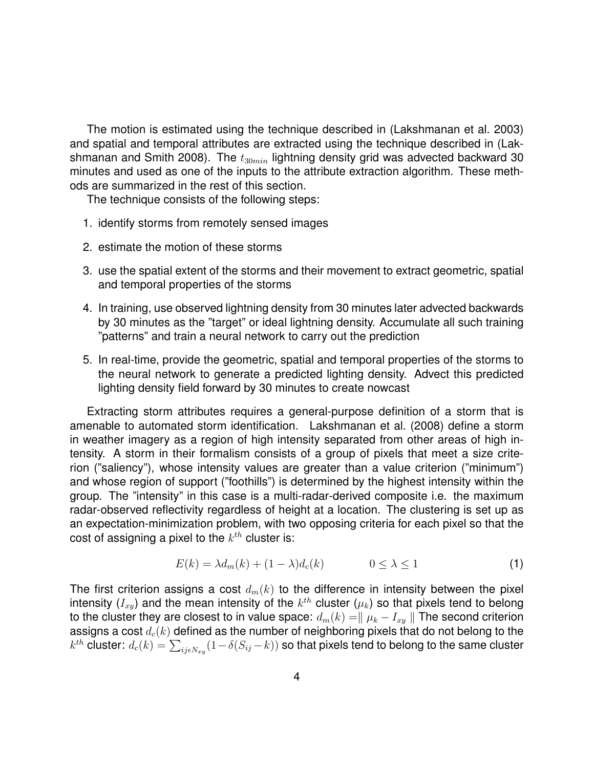The motion is estimated using the technique described in (Lakshmanan et al. 2003) and spatial and temporal attributes are extracted using the technique described in (Lakshmanan and Smith 2008). The  $t_{30min}$  lightning density grid was advected backward 30 minutes and used as one of the inputs to the attribute extraction algorithm. These methods are summarized in the rest of this section.

The technique consists of the following steps:

- 1. identify storms from remotely sensed images
- 2. estimate the motion of these storms
- 3. use the spatial extent of the storms and their movement to extract geometric, spatial and temporal properties of the storms
- 4. In training, use observed lightning density from 30 minutes later advected backwards by 30 minutes as the "target" or ideal lightning density. Accumulate all such training "patterns" and train a neural network to carry out the prediction
- 5. In real-time, provide the geometric, spatial and temporal properties of the storms to the neural network to generate a predicted lighting density. Advect this predicted lighting density field forward by 30 minutes to create nowcast

Extracting storm attributes requires a general-purpose definition of a storm that is amenable to automated storm identification. Lakshmanan et al. (2008) define a storm in weather imagery as a region of high intensity separated from other areas of high intensity. A storm in their formalism consists of a group of pixels that meet a size criterion ("saliency"), whose intensity values are greater than a value criterion ("minimum") and whose region of support ("foothills") is determined by the highest intensity within the group. The "intensity" in this case is a multi-radar-derived composite i.e. the maximum radar-observed reflectivity regardless of height at a location. The clustering is set up as an expectation-minimization problem, with two opposing criteria for each pixel so that the cost of assigning a pixel to the  $k^{th}$  cluster is:

$$
E(k) = \lambda d_m(k) + (1 - \lambda) d_c(k) \qquad \qquad 0 \le \lambda \le 1 \tag{1}
$$

The first criterion assigns a cost  $d_m(k)$  to the difference in intensity between the pixel intensity  $(I_{xy})$  and the mean intensity of the  $k^{th}$  cluster  $(\mu_k)$  so that pixels tend to belong to the cluster they are closest to in value space:  $d_m(k) = || \mu_k - I_{xy} ||$  The second criterion assigns a cost  $d_c(k)$  defined as the number of neighboring pixels that do not belong to the  $k^{th}$  cluster:  $d_c(k) = \sum_{ij \epsilon N_{xy}} (1-\delta(S_{ij}-k))$  so that pixels tend to belong to the same cluster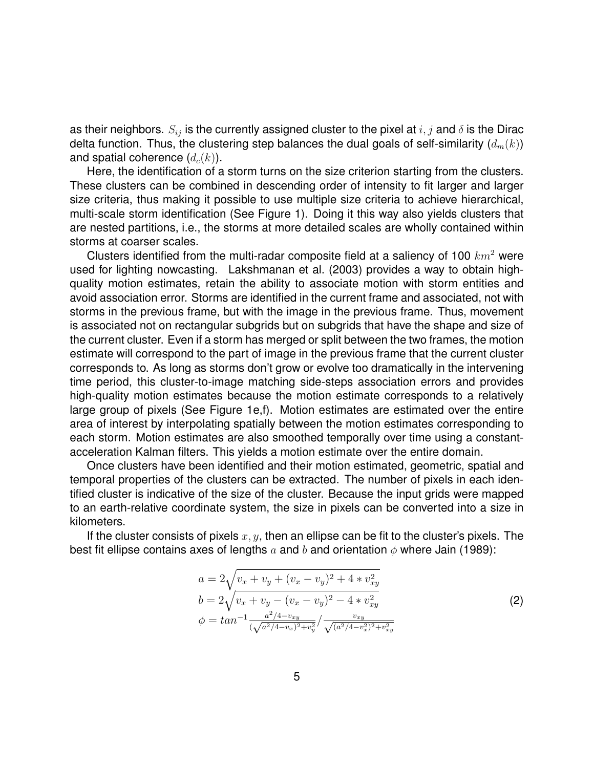as their neighbors.  $S_{ij}$  is the currently assigned cluster to the pixel at  $i, j$  and  $\delta$  is the Dirac delta function. Thus, the clustering step balances the dual goals of self-similarity  $(d_m(k))$ and spatial coherence  $(d_c(k))$ .

Here, the identification of a storm turns on the size criterion starting from the clusters. These clusters can be combined in descending order of intensity to fit larger and larger size criteria, thus making it possible to use multiple size criteria to achieve hierarchical, multi-scale storm identification (See Figure 1). Doing it this way also yields clusters that are nested partitions, i.e., the storms at more detailed scales are wholly contained within storms at coarser scales.

Clusters identified from the multi-radar composite field at a saliency of 100  $km^2$  were used for lighting nowcasting. Lakshmanan et al. (2003) provides a way to obtain highquality motion estimates, retain the ability to associate motion with storm entities and avoid association error. Storms are identified in the current frame and associated, not with storms in the previous frame, but with the image in the previous frame. Thus, movement is associated not on rectangular subgrids but on subgrids that have the shape and size of the current cluster. Even if a storm has merged or split between the two frames, the motion estimate will correspond to the part of image in the previous frame that the current cluster corresponds to. As long as storms don't grow or evolve too dramatically in the intervening time period, this cluster-to-image matching side-steps association errors and provides high-quality motion estimates because the motion estimate corresponds to a relatively large group of pixels (See Figure 1e,f). Motion estimates are estimated over the entire area of interest by interpolating spatially between the motion estimates corresponding to each storm. Motion estimates are also smoothed temporally over time using a constantacceleration Kalman filters. This yields a motion estimate over the entire domain.

Once clusters have been identified and their motion estimated, geometric, spatial and temporal properties of the clusters can be extracted. The number of pixels in each identified cluster is indicative of the size of the cluster. Because the input grids were mapped to an earth-relative coordinate system, the size in pixels can be converted into a size in kilometers.

If the cluster consists of pixels  $x, y$ , then an ellipse can be fit to the cluster's pixels. The best fit ellipse contains axes of lengths a and b and orientation  $\phi$  where Jain (1989):

$$
a = 2\sqrt{v_x + v_y + (v_x - v_y)^2 + 4 * v_{xy}^2}
$$
  
\n
$$
b = 2\sqrt{v_x + v_y - (v_x - v_y)^2 - 4 * v_{xy}^2}
$$
  
\n
$$
\phi = \tan^{-1} \frac{a^2/4 - v_{xy}}{(\sqrt{a^2/4 - v_x)^2 + v_y^2}} / \frac{v_{xy}}{\sqrt{(a^2/4 - v_x^2)^2 + v_{xy}^2}}
$$
\n(2)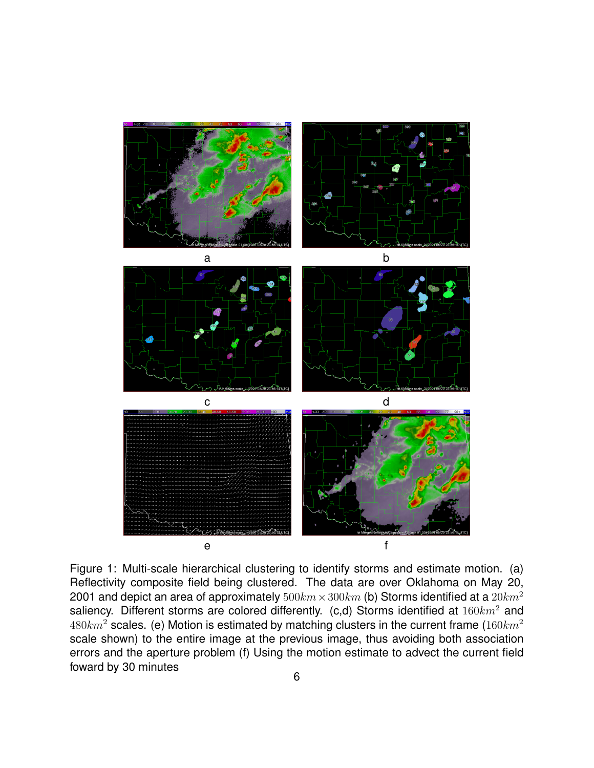

Figure 1: Multi-scale hierarchical clustering to identify storms and estimate motion. (a) Reflectivity composite field being clustered. The data are over Oklahoma on May 20, 2001 and depict an area of approximately  $500km \times 300km$  (b) Storms identified at a  $20km^2$ saliency. Different storms are colored differently. (c,d) Storms identified at  $160km^2$  and  $480km^2$  scales. (e) Motion is estimated by matching clusters in the current frame ( $160km^2$ ) scale shown) to the entire image at the previous image, thus avoiding both association errors and the aperture problem (f) Using the motion estimate to advect the current field foward by 30 minutes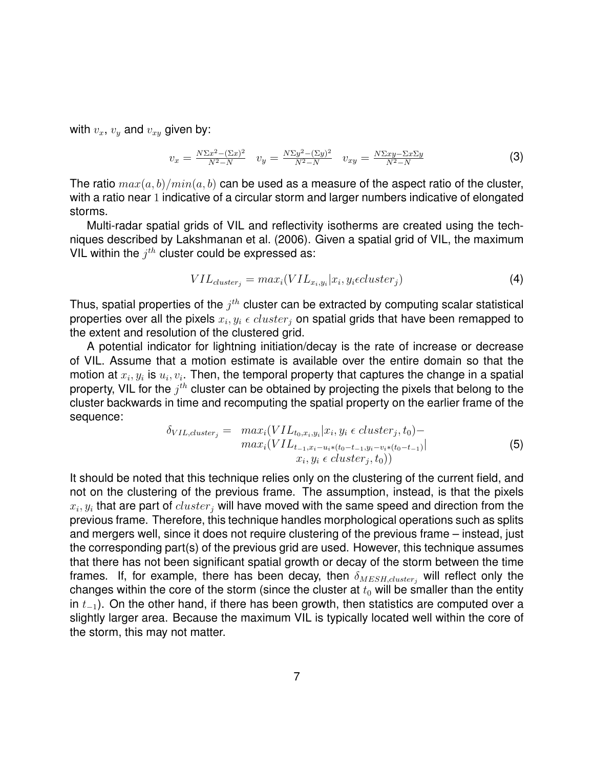with  $v_x$ ,  $v_y$  and  $v_{xy}$  given by:

$$
v_x = \frac{N\Sigma x^2 - (\Sigma x)^2}{N^2 - N} \quad v_y = \frac{N\Sigma y^2 - (\Sigma y)^2}{N^2 - N} \quad v_{xy} = \frac{N\Sigma xy - \Sigma x \Sigma y}{N^2 - N} \tag{3}
$$

The ratio  $max(a, b)/min(a, b)$  can be used as a measure of the aspect ratio of the cluster, with a ratio near 1 indicative of a circular storm and larger numbers indicative of elongated storms.

Multi-radar spatial grids of VIL and reflectivity isotherms are created using the techniques described by Lakshmanan et al. (2006). Given a spatial grid of VIL, the maximum VIL within the  $j^{th}$  cluster could be expressed as:

$$
VIL_{cluster_j} = max_i(VIL_{x_i, y_i}|x_i, y_i \in cluster_j)
$$
\n
$$
\tag{4}
$$

Thus, spatial properties of the  $j^{th}$  cluster can be extracted by computing scalar statistical properties over all the pixels  $x_i, y_i$   $\epsilon$   $cluster_j$  on spatial grids that have been remapped to the extent and resolution of the clustered grid.

A potential indicator for lightning initiation/decay is the rate of increase or decrease of VIL. Assume that a motion estimate is available over the entire domain so that the motion at  $x_i, y_i$  is  $u_i, v_i.$  Then, the temporal property that captures the change in a spatial property, VIL for the  $j^{th}$  cluster can be obtained by projecting the pixels that belong to the cluster backwards in time and recomputing the spatial property on the earlier frame of the sequence:

$$
\delta_{VIL, cluster_j} = \max_{i} (VIL_{t_0, x_i, y_i} | x_i, y_i \in cluster_j, t_0) - \max_{i} (VIL_{t_{-1}, x_i - u_i * (t_0 - t_{-1}, y_i - v_i * (t_0 - t_{-1}))} | x_i, y_i \in cluster_j, t_0))
$$
\n(5)

It should be noted that this technique relies only on the clustering of the current field, and not on the clustering of the previous frame. The assumption, instead, is that the pixels  $x_i, y_i$  that are part of  $cluster_j$  will have moved with the same speed and direction from the previous frame. Therefore, this technique handles morphological operations such as splits and mergers well, since it does not require clustering of the previous frame – instead, just the corresponding part(s) of the previous grid are used. However, this technique assumes that there has not been significant spatial growth or decay of the storm between the time frames. If, for example, there has been decay, then  $\delta_{MESH, cluster_i}$  will reflect only the changes within the core of the storm (since the cluster at  $t_0$  will be smaller than the entity in  $t_{-1}$ ). On the other hand, if there has been growth, then statistics are computed over a slightly larger area. Because the maximum VIL is typically located well within the core of the storm, this may not matter.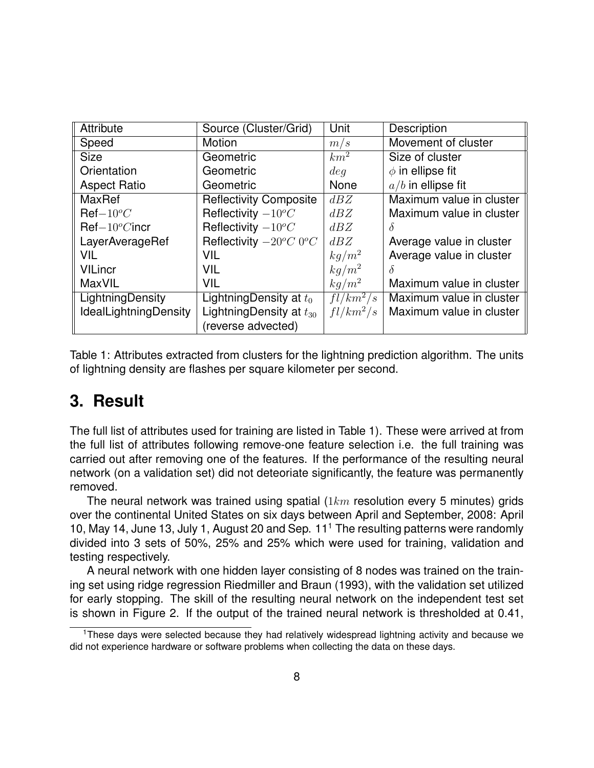| <b>Attribute</b>             | Source (Cluster/Grid)           | Unit        | Description              |
|------------------------------|---------------------------------|-------------|--------------------------|
| Speed                        | Motion                          | m/s         | Movement of cluster      |
| <b>Size</b>                  | Geometric                       | $km^2$      | Size of cluster          |
| Orientation                  | Geometric                       | deq         | $\phi$ in ellipse fit    |
| <b>Aspect Ratio</b>          | Geometric                       | <b>None</b> | $a/b$ in ellipse fit     |
| <b>MaxRef</b>                | <b>Reflectivity Composite</b>   | dBZ         | Maximum value in cluster |
| $\mathsf{Ref}-10^oC$         | Reflectivity $-10^{\circ}C$     | dBZ         | Maximum value in cluster |
| $Ref-10^{\circ}$ Cincr       | Reflectivity $-10^{\circ}C$     | dBZ         |                          |
| LayerAverageRef              | Reflectivity $-20^{\circ}C$ 0°C | dBZ         | Average value in cluster |
| <b>VIL</b>                   | <b>VIL</b>                      | $kg/m^2$    | Average value in cluster |
| <b>VILincr</b>               | <b>VIL</b>                      | $kg/m^2$    | $\delta$                 |
| MaxVIL                       | <b>VIL</b>                      | $kg/m^2$    | Maximum value in cluster |
| LightningDensity             | LightningDensity at $t_0$       | $fl/km^2/s$ | Maximum value in cluster |
| <b>IdealLightningDensity</b> | LightningDensity at $t_{30}$    | $fl/km^2/s$ | Maximum value in cluster |
|                              | (reverse advected)              |             |                          |

Table 1: Attributes extracted from clusters for the lightning prediction algorithm. The units of lightning density are flashes per square kilometer per second.

### **3. Result**

The full list of attributes used for training are listed in Table 1). These were arrived at from the full list of attributes following remove-one feature selection i.e. the full training was carried out after removing one of the features. If the performance of the resulting neural network (on a validation set) did not deteoriate significantly, the feature was permanently removed.

The neural network was trained using spatial  $(1km$  resolution every 5 minutes) grids over the continental United States on six days between April and September, 2008: April 10, May 14, June 13, July 1, August 20 and Sep. 11<sup>1</sup> The resulting patterns were randomly divided into 3 sets of 50%, 25% and 25% which were used for training, validation and testing respectively.

A neural network with one hidden layer consisting of 8 nodes was trained on the training set using ridge regression Riedmiller and Braun (1993), with the validation set utilized for early stopping. The skill of the resulting neural network on the independent test set is shown in Figure 2. If the output of the trained neural network is thresholded at 0.41,

<sup>&</sup>lt;sup>1</sup>These days were selected because they had relatively widespread lightning activity and because we did not experience hardware or software problems when collecting the data on these days.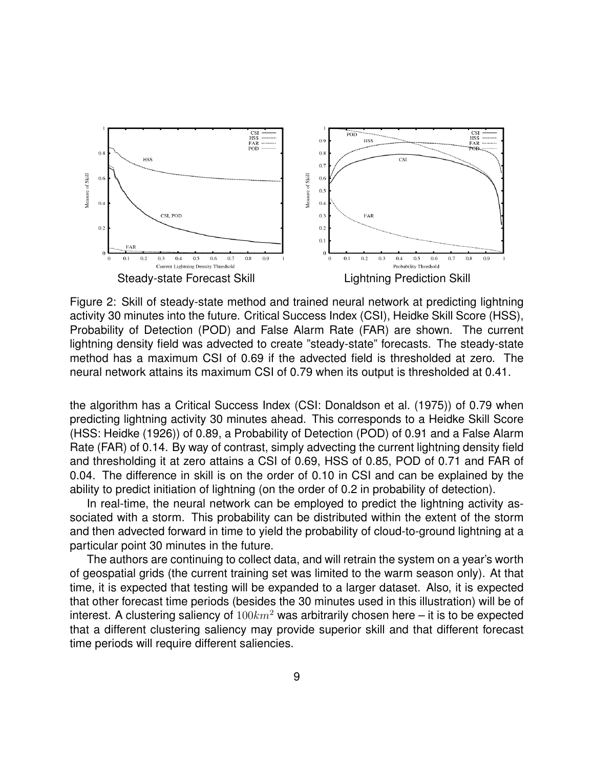

Figure 2: Skill of steady-state method and trained neural network at predicting lightning activity 30 minutes into the future. Critical Success Index (CSI), Heidke Skill Score (HSS), Probability of Detection (POD) and False Alarm Rate (FAR) are shown. The current lightning density field was advected to create "steady-state" forecasts. The steady-state method has a maximum CSI of 0.69 if the advected field is thresholded at zero. The neural network attains its maximum CSI of 0.79 when its output is thresholded at 0.41.

the algorithm has a Critical Success Index (CSI: Donaldson et al. (1975)) of 0.79 when predicting lightning activity 30 minutes ahead. This corresponds to a Heidke Skill Score (HSS: Heidke (1926)) of 0.89, a Probability of Detection (POD) of 0.91 and a False Alarm Rate (FAR) of 0.14. By way of contrast, simply advecting the current lightning density field and thresholding it at zero attains a CSI of 0.69, HSS of 0.85, POD of 0.71 and FAR of 0.04. The difference in skill is on the order of 0.10 in CSI and can be explained by the ability to predict initiation of lightning (on the order of 0.2 in probability of detection).

In real-time, the neural network can be employed to predict the lightning activity associated with a storm. This probability can be distributed within the extent of the storm and then advected forward in time to yield the probability of cloud-to-ground lightning at a particular point 30 minutes in the future.

The authors are continuing to collect data, and will retrain the system on a year's worth of geospatial grids (the current training set was limited to the warm season only). At that time, it is expected that testing will be expanded to a larger dataset. Also, it is expected that other forecast time periods (besides the 30 minutes used in this illustration) will be of interest. A clustering saliency of  $100km^2$  was arbitrarily chosen here – it is to be expected that a different clustering saliency may provide superior skill and that different forecast time periods will require different saliencies.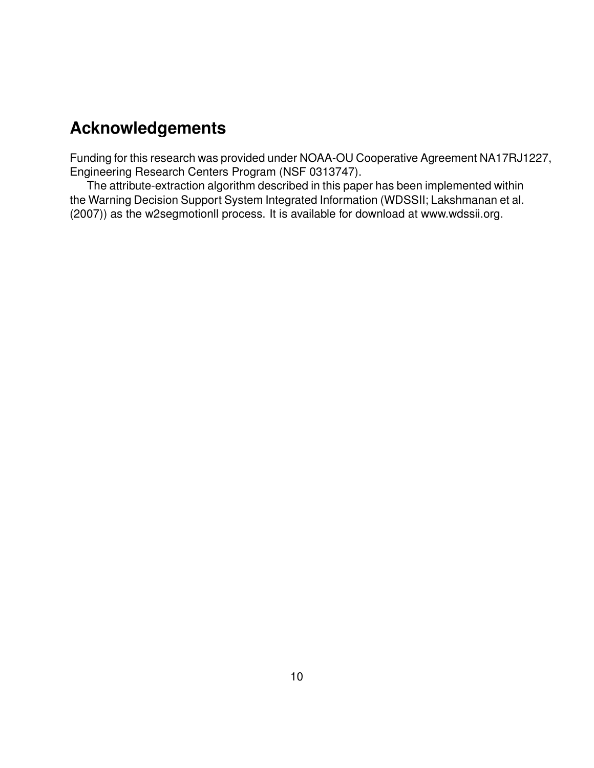# **Acknowledgements**

Funding for this research was provided under NOAA-OU Cooperative Agreement NA17RJ1227, Engineering Research Centers Program (NSF 0313747).

The attribute-extraction algorithm described in this paper has been implemented within the Warning Decision Support System Integrated Information (WDSSII; Lakshmanan et al. (2007)) as the w2segmotionll process. It is available for download at www.wdssii.org.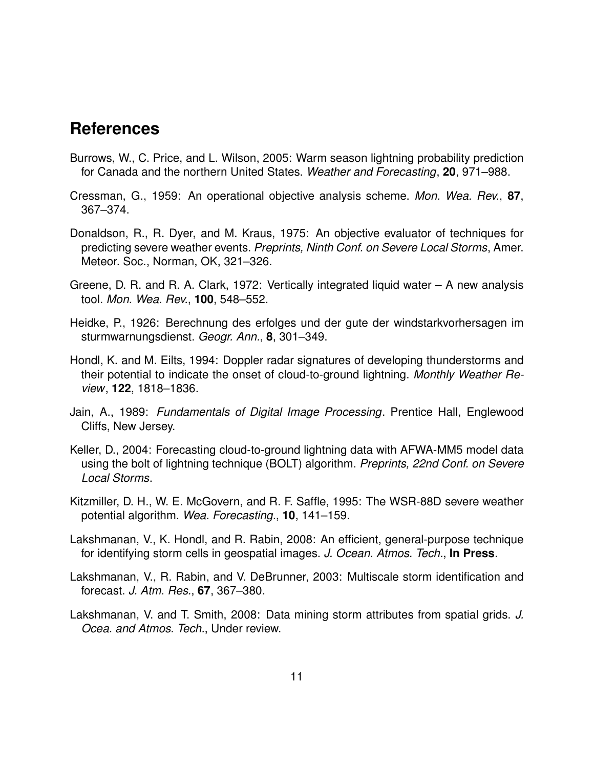#### **References**

- Burrows, W., C. Price, and L. Wilson, 2005: Warm season lightning probability prediction for Canada and the northern United States. *Weather and Forecasting*, **20**, 971–988.
- Cressman, G., 1959: An operational objective analysis scheme. *Mon. Wea. Rev.*, **87**, 367–374.
- Donaldson, R., R. Dyer, and M. Kraus, 1975: An objective evaluator of techniques for predicting severe weather events. *Preprints, Ninth Conf. on Severe Local Storms*, Amer. Meteor. Soc., Norman, OK, 321–326.
- Greene, D. R. and R. A. Clark, 1972: Vertically integrated liquid water A new analysis tool. *Mon. Wea. Rev.*, **100**, 548–552.
- Heidke, P., 1926: Berechnung des erfolges und der gute der windstarkvorhersagen im sturmwarnungsdienst. *Geogr. Ann.*, **8**, 301–349.
- Hondl, K. and M. Eilts, 1994: Doppler radar signatures of developing thunderstorms and their potential to indicate the onset of cloud-to-ground lightning. *Monthly Weather Review*, **122**, 1818–1836.
- Jain, A., 1989: *Fundamentals of Digital Image Processing*. Prentice Hall, Englewood Cliffs, New Jersey.
- Keller, D., 2004: Forecasting cloud-to-ground lightning data with AFWA-MM5 model data using the bolt of lightning technique (BOLT) algorithm. *Preprints, 22nd Conf. on Severe Local Storms*.
- Kitzmiller, D. H., W. E. McGovern, and R. F. Saffle, 1995: The WSR-88D severe weather potential algorithm. *Wea. Forecasting.*, **10**, 141–159.
- Lakshmanan, V., K. Hondl, and R. Rabin, 2008: An efficient, general-purpose technique for identifying storm cells in geospatial images. *J. Ocean. Atmos. Tech.*, **In Press**.
- Lakshmanan, V., R. Rabin, and V. DeBrunner, 2003: Multiscale storm identification and forecast. *J. Atm. Res.*, **67**, 367–380.
- Lakshmanan, V. and T. Smith, 2008: Data mining storm attributes from spatial grids. *J. Ocea. and Atmos. Tech.*, Under review.